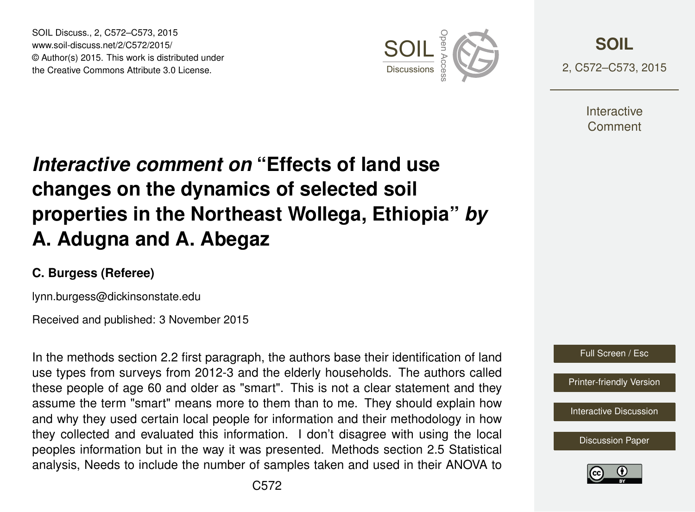SOIL Discuss., 2, C572–C573, 2015 www.soil-discuss.net/2/C572/2015/ © Author(s) 2015. This work is distributed under SOIL Discuss., 2, C572–C573, 2015<br>www.soil-discuss.net/2/C572/2015/<br>
© Author(s) 2015. This work is distributed under<br>
the Creative Commons Attribute 3.0 License. Discussions of the Creative Commons Attribute 3.0 License.



**[SOIL](http://www.soil-discuss.net)** 2, C572–C573, 2015

> **Interactive** Comment

## *Interactive comment on* **"Effects of land use changes on the dynamics of selected soil properties in the Northeast Wollega, Ethiopia"** *by* **A. Adugna and A. Abegaz**

## **C. Burgess (Referee)**

lynn.burgess@dickinsonstate.edu

Received and published: 3 November 2015

In the methods section 2.2 first paragraph, the authors base their identification of land use types from surveys from 2012-3 and the elderly households. The authors called these people of age 60 and older as "smart". This is not a clear statement and they assume the term "smart" means more to them than to me. They should explain how and why they used certain local people for information and their methodology in how they collected and evaluated this information. I don't disagree with using the local peoples information but in the way it was presented. Methods section 2.5 Statistical analysis, Needs to include the number of samples taken and used in their ANOVA to